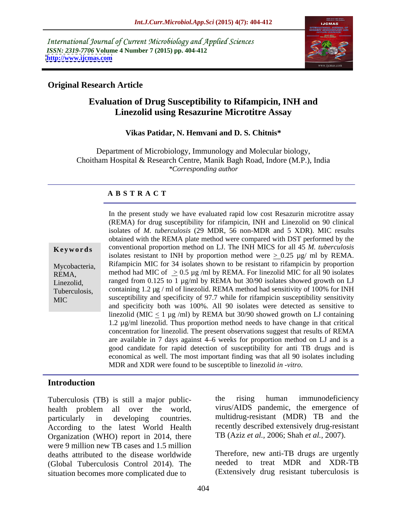International Journal of Current Microbiology and Applied Sciences *ISSN: 2319-7706* **Volume 4 Number 7 (2015) pp. 404-412 <http://www.ijcmas.com>**



## **Original Research Article**

# **Evaluation of Drug Susceptibility to Rifampicin, INH and Linezolid using Resazurine Microtitre Assay**

#### **Vikas Patidar, N. Hemvani and D. S. Chitnis\***

Department of Microbiology, Immunology and Molecular biology, Choitham Hospital & Research Centre, Manik Bagh Road, Indore (M.P.), India *\*Corresponding author*

#### **A B S T R A C T**

MIC

In the present study we have evaluated rapid low cost Resazurin microtitre assay (REMA) for drug susceptibility for rifampicin, INH and Linezolid on 90 clinical isolates of *M. tuberculosis* (29 MDR, 56 non-MDR and 5 XDR). MIC results obtained with the REMA plate method were compared with DST performed by the conventional proportion method on LJ. The INH MICS for all 45 *M. tuberculosis* isolates resistant to INH by proportion method were  $\geq 0.25$  µg/ ml by REMA. Mycobacteria, Rifampicin MIC for 34 isolates shown to be resistant to rifampicin by proportion REMA, method had MIC of  $\geq 0.5 \,\mu$ g /ml by REMA. For linezolid MIC for all 90 isolates Linezolid, ranged from 0.125 to 1  $\mu$ g/ml by REMA but 30/90 isolates showed growth on LJ Tuberculosis, containing 1.2  $\mu$ g / ml of linezolid. REMA method had sensitivity of 100% for INH susceptibility and specificity of 97.7 while for rifampicin susceptibility sensitivity and specificity both was 100%. All 90 isolates were detected as sensitive to linezolid (MIC  $\leq$  1 µg /ml) by REMA but 30/90 showed growth on LJ containing 1.2 µg/ml linezolid. Thus proportion method needs to have change in that critical concentration for linezolid. The present observations suggest that results of REMA are available in 7 days against 4 6 weeks for proportion method on LJ and is a good candidate for rapid detection of susceptibility for anti TB drugs and is economical as well. The most important finding was that all 90 isolates including **Example 12** conventional proportion method on LJ. Ine INH MICS for all 49 *ML*, *Mycobacteria*, Rifampicin MIC for 34 isolates shown to be resistant to rifampicin by proportion method had MIC of  $\geq 0.5 \text{ kg/ml}$  by REMA.

## **Introduction**

health problem all over the world, virus/AIDS pandemic, the emergence of particularly in developing countries. multidrug-resistant (MDR) TB and the According to the latest World Health Organization (WHO) report in 2014, there were 9 million new TB cases and 1.5 million deaths attributed to the disease worldwide (Global Tuberculosis Control 2014). The situation becomes more complicated due to

Tuberculosis (TB) is still a major public-<br>the rising human immunodeficiency the rising human immunodeficiency virus/AIDS pandemic, the emergence of recently described extensively drug-resistant TB (Aziz *et al.,* 2006; Shah *et al.,* 2007).

> Therefore, new anti-TB drugs are urgently needed to treat MDR and XDR-TB (Extensively drug resistant tuberculosis is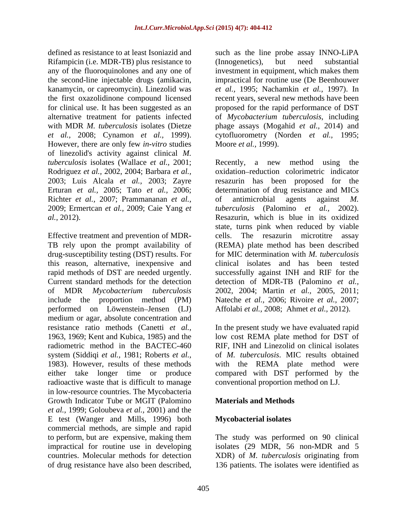Rifampicin (i.e. MDR-TB) plus resistance to (Innogenetics), but need substantial However, there are only few *in-vitro* studies of linezolid's activity against clinical *M. tuberculosis* isolates (Wallace *et al.,* 2001; Rodriguez *et al.,* 2002, 2004; Barbara *et al.,* 2003; Luis Alcala *et al.,* 2003; Zayre Richter *et al.,* 2007; Prammananan *et al.,* 2009; Ermertcan *et al.,* 2009; Caie Yang *et* 

Effective treatment and prevention of MDR drug-susceptibility testing (DST) results. For Current standard methods for the detection performed on Löwenstein Jensen (LJ) medium or agar, absolute concentration and resistance ratio methods (Canetti *et al.,* radiometric method in the BACTEC-460 system (Siddiqi *et al.,* 1981; Roberts *et al.,* radioactive waste that is difficult to manage in low-resource countries. The Mycobacteria Growth Indicator Tube or MGIT (Palomino *et al.,* 1999; Goloubeva *et al.,* 2001) and the E test (Wanger and Mills, 1996) both commercial methods, are simple and rapid to perform, but are expensive, making them The study was performed on 90 clinical impractical for routine use in developing isolates (29 MDR, 56 non**-**MDR and 5 countries. Molecular methods for detection XDR) of *M. tuberculosis* originating from of drug resistance have also been described, 136 patients. The isolates were identified as

defined as resistance to at least Isoniazid and such as the line probe assay INNO-LiPA any of the fluoroquinolones and any one of investment in equipment, which makes them the second-line injectable drugs (amikacin, impractical for routine use (De Beenhouwer kanamycin, or capreomycin). Linezolid was *et al.,* 1995; Nachamkin *et al.,* 1997). In the first oxazolidinone compound licensed recent years, several new methods have been for clinical use. It has been suggested as an proposed for the rapid performance of DST alternative treatment for patients infected of *Mycobacterium tuberculosis*, including with MDR *M. tuberculosis* isolates (Dietze phage assays (Mogahid *et al.,* 2014) and *et al.,* 2008; Cynamon *et al.,* 1999). cytofluorometry (Norden *et al.,* 1995; (Innogenetics), but need substantial Moore *et al.,* 1999).

Erturan *et al.,* 2005; Tato *et al.,* 2006; determination of drug resistance and MICs *al.,* 2012). Resazurin, which is blue in its oxidized TB rely upon the prompt availability of (REMA) plate method has been described this reason, alternative, inexpensive and clinical isolates and has been tested rapid methods of DST are needed urgently. successfully against INH and RIF for the of MDR *Mycobacterium tuberculosis* 2002, 2004; Martin *et al.,* 2005, 2011; include the proportion method (PM) Nateche *et al.,* 2006; Rivoire *et al.,* 2007; Recently, a new method using oxidation reduction colorimetric indicator resazurin has been proposed for of antimicrobial agents against *M. tuberculosis* (Palomino *et al.,* 2002). state, turns pink when reduced by viable The resazurin microtitre assay for MIC determination with *M. tuberculosis* detection of MDR**-**TB (Palomino *et al.,* Affolabi *et al.,* 2008; Ahmet *et al.,* 2012).

1963, 1969; Kent and Kubica, 1985) and the low cost REMA plate method for DST of 1983). However, results of these methods with the REMA plate method were either take longer time or produce compared with DST performed by the In the present study we have evaluated rapid RIF, INH and Linezolid on clinical isolates of *M. tuberculosis*. MIC results obtained conventional proportion method on LJ.

# **Materials and Methods**

# **Mycobacterial isolates**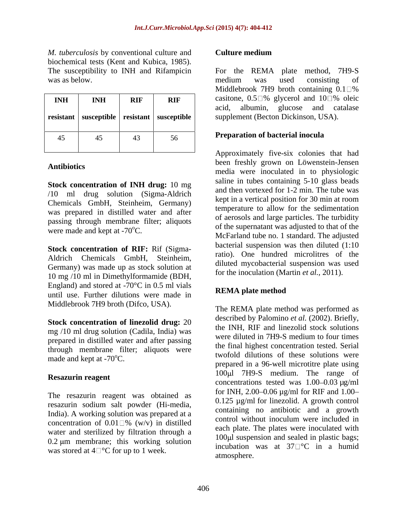*M. tuberculosis* by conventional culture and biochemical tests (Kent and Kubica, 1985).

|            |            |            |                                                   | $\ldots$                                                                            |
|------------|------------|------------|---------------------------------------------------|-------------------------------------------------------------------------------------|
| <b>INH</b> | <b>INH</b> | <b>RIF</b> | <b>RIF</b>                                        | casitone, $0.5\Box\%$ glycerol and $10\Box\%$ oleic                                 |
|            |            |            | resistant   susceptible   resistant   susceptible | glucose and<br>catalase<br>albumin,<br>acid.<br>supplement (Becton Dickinson, USA). |
|            |            |            |                                                   | <b>Preparation of bacterial inocula</b>                                             |
|            |            |            | 56                                                |                                                                                     |
|            |            |            |                                                   | .                                                                                   |

**Stock concentration of INH drug:** 10 mg /10 ml drug solution (Sigma-Aldrich Chemicals GmbH, Steinheim, Germany) was prepared in distilled water and after passing through membrane filter; aliquots were made and kept at  $-70^{\circ}$ C.

**Stock concentration of RIF:** Rif (Sigma- Aldrich Chemicals GmbH, Steinheim, Germany) was made up as stock solution at 10 mg /10 ml in Dimethylformamide (BDH, England) and stored at  $-70^{\circ}$ C in 0.5 ml vials<br>we say that the state is **REMA** plate method until use. Further dilutions were made in Middlebrook 7H9 broth (Difco, USA).

**Stock concentration of linezolid drug:** 20 mg /10 ml drug solution (Cadila, India) was<br>were diluted in 7H9-S medium to four times prepared in distilled water and after passing through membrane filter; aliquots were made and kept at  $-70^{\circ}$ C.

The resazurin reagent was obtained as resazurin sodium salt powder (Hi-media, India). A working solution was prepared at a containing no antibotic and a growth concentration of  $0.01 \square \%$  (w/v) in distilled water and sterilized by filtration through a  $0.2 \mu m$  membrane; this working solution was stored at  $4\degree$ °C for up to 1 week.

## **Culture medium**

The susceptibility to INH and Rifampicin For the REMA plate method, 7H9-S was as below. The construction of the medium was used consisting of **INH RIF RIF Casitone, 0.5** and 10 % oleic medium was used consisting of Middlebrook 7H9 broth containing  $0.1\Box$ % acid, albumin, glucose and catalase

## **Preparation of bacterial inocula**

Antibiotics **antibiotics a media** were inoculated in to physiologic Approximately five-six colonies that had been freshly grown on Löwenstein-Jensen saline in tubes containing 5-10 glass beads and then vortexed for 1-2 min. The tube was kept in a vertical position for 30 min at room temperature to allow for the sedimentation of aerosols and large particles. The turbidity of the supernatant was adjusted to that of the McFarland tube no. 1 standard. The adjusted bacterial suspension was then diluted (1:10 ratio). One hundred microlitres of the diluted mycobacterial suspension was used for the inoculation (Martin *et al.,* 2011).

# **REMA plate method**

**Resazurin reagent**<br>
concentrations tested was 1.00–0.03 µg/ml The REMA plate method was performed as described by Palomino *et al.* (2002). Briefly, the INH, RIF and linezolid stock solutions were diluted in 7H9-S medium to four times the final highest concentration tested. Serial twofold dilutions of these solutions were prepared in a 96-well microtitre plate using 100 ul 7H9-S medium. The range of for INH, 2.00–0.06  $\mu$ g/ml for RIF and 1.00– 0.125 µg/ml for linezolid. A growth control containing no antibiotic and a growth control without inoculum were included in each plate. The plates were inoculated with 100 $\mu$ l suspension and sealed in plastic bags; incubation was at  $37 \degree$ C in a humid atmosphere.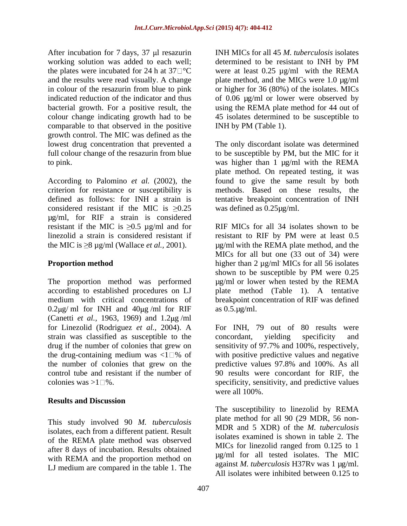After incubation for  $7 \text{ days}$ ,  $37 \text{ µ}$  resazurin working solution was added to each well; determined to be resistant to INH by PM comparable to that observed in the positive growth control. The MIC was defined as the

According to Palomino *et al.* (2002), the considered resistant if the MIC is  $>0.25$ µg/ml, for RIF a strain is considered resistant if the MIC is  $\geq 0.5$  µg/ml and for linezolid a strain is considered resistant if resistant to RIF by PM were at least 0.5

The proportion method was performed according to established procedures on LJ plate method (Table 1). A tentative medium with critical concentrations of breakpoint concentration of RIF was defined  $0.2\mu$ g/ ml for INH and  $40\mu$ g/ml for RIF (Canetti *et al.*, 1963, 1969) and 1.2 µg/ml for Linezolid (Rodriguez *et al.,* 2004). A strain was classified as susceptible to the concordant, yielding specificity and drug if the number of colonies that grew on the drug-containing medium was  $\langle 1 \rangle$  of with positive predictive values and negative the number of colonies that grew on the predictive values 97.8% and 100%. As all control tube and resistant if the number of 90 results were concordant for RIF, the

## **Results and Discussion**

This study involved 90 *M. tuberculosis* isolates, each from a different patient. Result of the REMA plate method was observed after 8 days of incubation. Results obtained with REMA and the proportion method on LJ medium are compared in the table 1. The

the plates were incubated for 24 h at  $37\degree\degree$  were at least 0.25  $\mu$ g/ml with the REMA and the results were read visually. A change plate method, and the MICs were 1.0  $\mu$ g/ml in colour of the resazurin from blue to pink or higher for 36 (80%) of the isolates. MICs indicated reduction of the indicator and thus of 0.06 µg/ml or lower were observed by bacterial growth. For a positive result, the using the REMA plate method for 44 out of colour change indicating growth had to be 45 isolates determined to be susceptible to INH MICs for all 45 *M. tuberculosis* isolates determined to be resistant to INH by PM INH by PM (Table 1).

lowest drug concentration that prevented a The only discordant isolate was determined full colour change of the resazurin from blue to be susceptible by PM, but the MIC for it to pink. was higher than 1 µg/ml with the REMA criterion for resistance or susceptibility is methods. Based on these results, the defined as follows: for INH a strain is tentative breakpoint concentration of INH plate method. On repeated testing, it was found to give the same result by both was defined as 0.25µg/ml.

the MIC is  $\geq$ 8 µg/ml (Wallace *et al.*, 2001).  $\qquad \qquad$  µg/ml with the REMA plate method, and the **Proportion method** higher than 2 µg/ml MICs for all 56 isolates RIF MICs for all 34 isolates shown to be resistant to RIF by PM were at least 0.5 MICs for all but one (33 out of 34) were . MICs for all 56 isolates shown to be susceptible by PM were 0.25 µg/ml or lower when tested by the REMA as 0.5.µg/ml.

colonies was  $>1 \square$ %. specificity, sensitivity, and predictive values For INH, 79 out of 80 results were concordant, yielding specificity and sensitivity of 97.7% and 100%, respectively, with positive predictive values and negative were all 100%.

> The susceptibility to linezolid by REMA plate method for all 90 (29 MDR, 56 non**-** MDR and 5 XDR) of the *M. tuberculosis* isolates examined is shown in table 2. The MICs for linezolid ranged from 0.125 to 1 µg/ml for all tested isolates. The MIC against *M. tuberculosis* H37Rv was 1 µg/ml. All isolates were inhibited between 0.125 to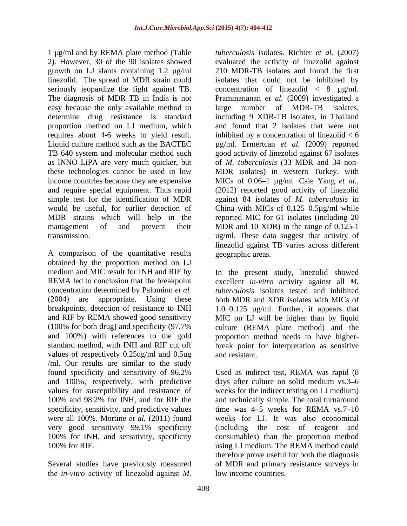1 µg/ml and by REMA plate method (Table 2). However, 30 of the 90 isolates showed growth on LJ slants containing 1.2 µg/ml proportion method on LJ medium, which requires about 4**-**6 weeks to yield result. and require special equipment. Thus rapid

A comparison of the quantitative results obtained by the proportion method on LJ<br>medium and MIC result for INH and RIF by medium and MIC result for INH and RIF by In the present study, linezolid showed REMA led to conclusion that the breakpoint excellent *in-vitro* activity against all *M.*  concentration determined by Palomino *et al. tuberculosis* isolates tested and inhibited (2004) are appropriate. Using these both MDR and XDR isolates with MICs of breakpoints, detection of resistance to INH 1.0–0.125 µg/ml. Further, it appears that and RIF by REMA showed good sensitivity MIC on LJ will be higher than by liquid (100% for both drug) and specificity (97.7% culture (REMA plate method) and the and 100%) with references to the gold proportion method needs to have higher standard method, with INH and RIF cut off break point for interpretation as sensitive values of respectively 0.25ug/ml and 0.5ug and resistant. /ml. Our results are similar to the study and 100%, respectively, with predictive very good sensitivity 99.1% specificity

the *in-vitro* activity of linezolid against *M.* 

linezolid. The spread of MDR strain could isolates that could not be inhibited by seriously jeopardize the fight against TB. concentration of linezolid < 8 µg/ml. The diagnosis of MDR TB in India is not Prammananan *et al.* (2009) investigated a easy because the only available method to large number of MDR-TB isolates, determine drug resistance is standard including 9 XDR-TB isolates, in Thailand Liquid culture method such as the BACTEC µg/ml. Ermertcan *et al.* (2009) reported TB 640 system and molecular method such good activity of linezolid against 67 isolates as INNO LiPA are very much quicker, but of *M. tuberculosis* (33 MDR and 34 non these technologies cannot be used in low MDR isolates) in western Turkey, with income countries because they are expensive MICs of 0.06–1 µg/ml. Caie Yang *et al.*, simple test for the identification of MDR against 84 isolates of *M. tuberculosis* in would be useful, for earlier detection of China with MICs of 0.125–0.5µg/ml while MDR strains which will help in the reported MIC for 61 isolates (including 20 management of and prevent their MDR and 10 XDR) in the range of 0.125-1 transmission. ug/ml. These data suggest that activity of *tuberculosis* isolates. Richter *et al.* (2007) evaluated the activity of linezolid against 210 MDR-TB isolates and found the first and found that 2 isolates that were not inhibited by a concentration of linezolid  $< 6$ (2012) reported good activity of linezolid linezolid against TB varies across different geographic areas.

and resistant.

found specificity and sensitivity of 96.2% Used as indirect test, REMA was rapid (8 values for susceptibility and resistance of weeks for the indirect testing on LJ medium) 100% and 98.2% for INH, and for RIF the and technically simple. The total turnaround specificity, sensitivity, and predictive values time was 4–5 weeks for REMA vs.7–10 were all 100%. Mortine *et al.* (2011) found weeks for LJ. It was also economical 100% for INH, and sensitivity, specificity consumables) than the proportion method 100% for RIF. using LJ medium. The REMA method could Several studies have previously measured of MDR and primary resistance surveys in days after culture on solid medium vs.3–6 (including the cost of reagent and therefore prove useful for both the diagnosis low income countries.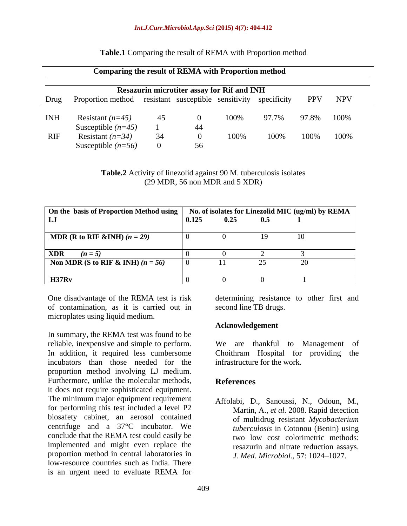| <b>Comparing the result of REMA with Proportion method</b>                   |                                                   |       |       |            |  |
|------------------------------------------------------------------------------|---------------------------------------------------|-------|-------|------------|--|
|                                                                              | <b>Resazurin microtiter assay for Rif and INH</b> |       |       |            |  |
| Drug Proportion method resistant susceptible sensitivity specificity PPV NPV |                                                   |       |       |            |  |
| INH Resistant $(n=45)$                                                       |                                                   |       | 97.7% | 97.8% 100% |  |
| Susceptible $(n=45)$                                                         |                                                   |       |       |            |  |
| RIF Resistant $(n=34)$                                                       |                                                   | UU% = | 100%  | 100% 100%  |  |
| Susceptible $(n=56)$                                                         |                                                   |       |       |            |  |

#### **Table.1** Comparing the result of REMA with Proportion method

**Table.2** Activity of linezolid against 90 M. tuberculosis isolates (29 MDR, 56 non MDR and 5 XDR)

| On the basis of Proportion Method using   No. of isolates for Linezolid MIC (ug/ml) by REMA |       |      |     |  |
|---------------------------------------------------------------------------------------------|-------|------|-----|--|
|                                                                                             | 0.125 | 0.25 | 0.5 |  |
| MDR (R to RIF &INH) $(n = 29)$                                                              |       |      |     |  |
| <b>XDR</b><br>$(n = 5)$                                                                     |       |      |     |  |
| Non MDR (S to RIF & INH) $(n = 56)$                                                         |       |      |     |  |
| H37Rv                                                                                       |       |      |     |  |

One disadvantage of the REMA test is risk determining resistance to other first and of contamination, as it is carried out in microplates using liquid medium.

In summary, the REMA test was found to be reliable, inexpensive and simple to perform. We are thankful to Management of In addition, it required less cumbersome Choithram Hospital for providing the incubators than those needed for the proportion method involving LJ medium. Furthermore, unlike the molecular methods, References it does not require sophisticated equipment. The minimum major equipment requirement for performing this test included a level P2 biosafety cabinet, an aerosol contained centrifuge and a 37°C incubator. We conclude that the REMA test could easily be implemented and might even replace the proportion method in central laboratories in low-resource countries such as India. There is an urgent need to evaluate REMA for

second line TB drugs.

### **Acknowledgement**

infrastructure for the work.

# **References**

Affolabi, D., Sanoussi, N., Odoun, M., Martin, A., *et al.* 2008. Rapid detection of multidrug resistant *Mycobacterium tuberculosis* in Cotonou (Benin) using two low cost colorimetric methods: resazurin and nitrate reduction assays. *J. Med. Microbiol., 57: 1024–1027.*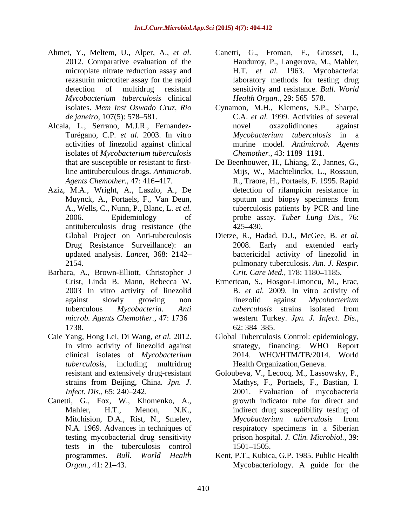- Ahmet, Y., Meltem, U., Alper, A., *et al.* Canetti, G., Froman, F., Grosset, J., microplate nitrate reduction assay and *Mycobacterium tuberculosis* clinical
- Alcala, L., Serrano, M.J.R., Fernandez isolates of *Mycobacterium tuberculosis*
- Aziz, M.A., Wright, A., Laszlo, A., De antituberculosis drug resistance (the
- Barbara, A., Brown-Elliott, Christopher J 2003 In vitro activity of linezolid *microb. Agents Chemother.,* 47: 1736 1738. 62: 384–385.
- Caie Yang, Hong Lei, Di Wang, *et al.* 2012. Global Tuberculosis Control: epidemiology, clinical isolates of *Mycobacterium*
- Canetti, G., Fox, W., Khomenko, A., tests in the tuberculosis control
- 2012. Comparative evaluation of the Hauduroy, P., Langerova, M., Mahler, rezasurin microtiter assay for the rapid laboratory methods for testing drug detection of multidrug resistant sensitivity and resistance. *Bull. World* H.T. *et al.* 1963. Mycobacteria: *Health Organ., 29: 565-578.*
- isolates. *Mem Inst Oswado Cruz, Rio* Cynamon, M.H., Klemens, S.P., Sharpe, *de janeiro,* 107(5): 578 581. C.A. *et al.* 1999. Activities of several Turégano, C.P. *et al.* 2003. In vitro activities of linezolid against clinical murine model. *Antimicrob. Agents* novel oxazolidinones against *Mycobacterium tuberculosis* in a *Chemother.,* 43: 1189-1191.
- that are susceptible or resistant to first-De Beenhouwer, H., Lhiang, Z., Jannes, G., line antituberculous drugs. *Antimicrob.*  Mijs, W., Machtelinckx, L., Rossaun, Agents Chemother., 47: 416–417. **R., Traore, H., Portaels, F. 1995. Rapid** Muynck, A., Portaels, F., Van Deun, A., Wells, C., Nunn, P., Blanc, L. *et al.*  tuberculosis patients by PCR and line 2006. Epidemiology of probe assay. *Tuber Lung Dis.,* 76: detection of rifampicin resistance in sputum and biopsy specimens from 425 430.
- Global Project on Anti-tuberculosis Dietze, R., Hadad, D.J., McGee, B. *et al.* Drug Resistance Surveillance): an 2008. Early and extended early updated analysis. *Lancet,* 368: 2142 bactericidal activity of linezolid in 2154. pulmonary tuberculosis. *Am. J. Respir. Crit. Care Med., 178: 1180-1185.*
- Crist, Linda B. Mann, Rebecca W. Ermertcan, S., Hosgor-Limoncu, M., Erac, against slowly growing non linezolid against Mycobacterium tuberculous *Mycobacteria*. *Anti*  B. *et al.* 2009. In vitro activity of linezolid against *Mycobacterium tuberculosis* strains isolated from western Turkey. *Jpn. J. Infect. Dis.,* 62: 384–385.
- In vitro activity of linezolid against strategy, financing: WHO Report *tuberculosis*, including multridrug Health Organization,Geneva. strategy, financing: WHO Report 2014. WHO/HTM/TB/2014. World
- resistant and extensively drug-resistant Goloubeva, V., Lecocq, M., Lassowsky, P., strains from Beijing, China. *Jpn. J.* Mathys, F., Portaels, F., Bastian, I. *Infect. Dis.*, 65: 240–242. 2001. Evaluation of mycobacteria Mahler, H.T., Menon, N.K., indirect drug susceptibility testing of Mitchision, D.A., Rist, N., Smeley, *Mycobacterium tuberculosis* from N.A. 1969. Advances in techniques of respiratory specimens in a Siberian testing mycobacterial drug sensitivity prison hospital. *J. Clin. Microbiol.,* 39: growth indicator tube for direct and *Mycobacterium tuberculosis* from 1501–1505.
- programmes. *Bull. World Health* Kent, P.T., Kubica, G.P. 1985. Public Health *Organ.,* 41: 21–43. Mycobacteriology. A guide for the Mycobacteriology. A guide for the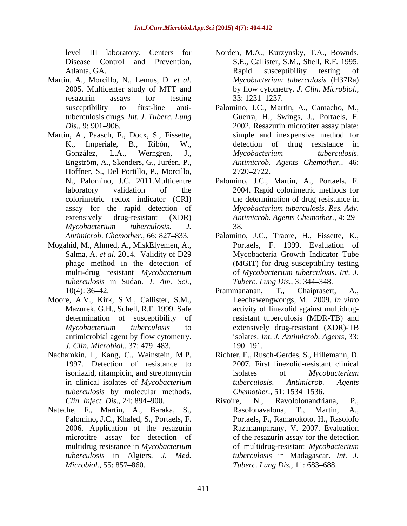- Martin, A., Morcillo, N., Lemus, D. *et al.*
- Martin, A., Paasch, F., Docx, S., Fissette, Hoffner, S., Del Portillo, P., Morcillo, 2720–2722. assay for the rapid detection of
- Mogahid, M., Ahmed, A., MiskElyemen, A., Salma, A. *et al.* 2014. Validity of D29 phage method in the detection of *tuberculosis* in Sudan. *J. Am. Sci.,*
- Moore, A.V., Kirk, S.M., Callister, S.M., *J. Clin. Microbiol.,* 37: 479 483.
- *tuberculosis* by molecular methods.
- Palomino, J.C., Khaled, S., Portaels, F.
- level III laboratory. Centers for Norden, M.A., Kurzynsky, T.A., Bownds, Disease Control and Prevention, S.E., Callister, S.M., Shell, R.F. 1995. Atlanta, GA. The Contract of Texas and Susceptibility testing of the Atlanta, GA. 2005. Multicenter study of MTT and by flow cytometry. *J. Clin. Microbiol.,* resazurin assays for testing 33:1231–1237. Rapid susceptibility testing of *Mycobacterium tuberculosis* (H37Ra) 33: 1231 1237.
- susceptibility to first-line anti-Palomino, J.C., Martin, A., Camacho, M., tuberculosis drugs. *Int. J. Tuberc. Lung*  Guerra, H., Swings, J., Portaels, F. *Dis.,* 9: 901 906. 2002. Resazurin microtiter assay plate: K., Imperiale, B., Ribón, W., detection of drug resistance in González, L.A., Werngren, J., *Mycobacterium tuberculosis*. Engström, A., Skenders, G., Juréen, P., *Antimicrob. Agents Chemother.,* 46: simple and inexpensive method for *Mycobacterium tuberculosis*. 2720 2722.
- N., Palomino, J.C. 2011.Multicentre Palomino, J.C., Martin, A., Portaels, F. laboratory validation of the 2004. Rapid colorimetric methods for colorimetric redox indicator (CRI) the determination of drug resistance in extensively drug-resistant (XDR) *Antimicrob. Agents Chemother.,* 4: 29 *Mycobacterium tuberculosis*. *J. Mycobacterium tuberculosis*. *Res. Adv.* 38.
- *Antimicrob. Chemother.,* 66: 827–833. Palomino, J.C., Traore, H., Fissette, K., multi-drug resistant *Mycobacterium*  of *Mycobacterium tuberculosis*. *Int. J.* Palomino, J.C., Traore, H., Fissette, K., Portaels, F. 1999. Evaluation of Mycobacteria Growth Indicator Tube (MGIT) for drug susceptibility testing *Tuberc. Lung Dis., 3: 344–348.*
- 10(4): 36–42. **Prammanananan**, T., Chaiprasert, A., Mazurek, G.H., Schell, R.F. 1999. Safe activity of linezolid against multidrugdetermination of susceptibility of resistant tuberculosis (MDR-TB) and *Mycobacterium tuberculosis* to extensively drug-resistant (XDR)-TB antimicrobial agent by flow cytometry. isolates. *Int. J. Antimicrob. Agents,* 33: Prammananan, T., Chaiprasert, A., Leechawengwongs, M. 2009. *In vitro* 190–191.
- Nachamkin, I., Kang, C., Weinstein, M.P. Richter, E., Rusch-Gerdes, S., Hillemann, D. 1997. Detection of resistance to 2007. First linezolid-resistant clinical isoniazid, rifampicin, and streptomycin isolates of *Mycobacterium* in clinical isolates of *Mycobacterium*  isolates of *Mycobacterium tuberculosis*. *Antimicrob. Agents Chemother.,* 51: 1534–1536.
- *Clin. Infect. Dis.,* 24: 894–900. **Rivolume Rivolume R., Ravolohandriana, P., Ravolohandriana, P.,** *Clin. Infect. Dis.***, 24: 894–900.** Nateche, F., Martin, A., Baraka, S., Rasolonavalona, T., Martin, A., 2006. Application of the resazurin Razanamparany, V. 2007. Evaluation microtitre assay for detection of of the resazurin assay for the detection multidrug resistance in *Mycobacterium*  of multidrug-resistant *Mycobacterium tuberculosis* in Algiers. *J. Med. tuberculosis* in Madagascar. *Int. J. Microbiol.,* 55: 857–860. *Tuberc. Lung Dis.,* 11: 683–688. Ravololonandriana, Rasolonavalona, T., Martin, A., Portaels, F., Ramarokoto, H., Rasolofo